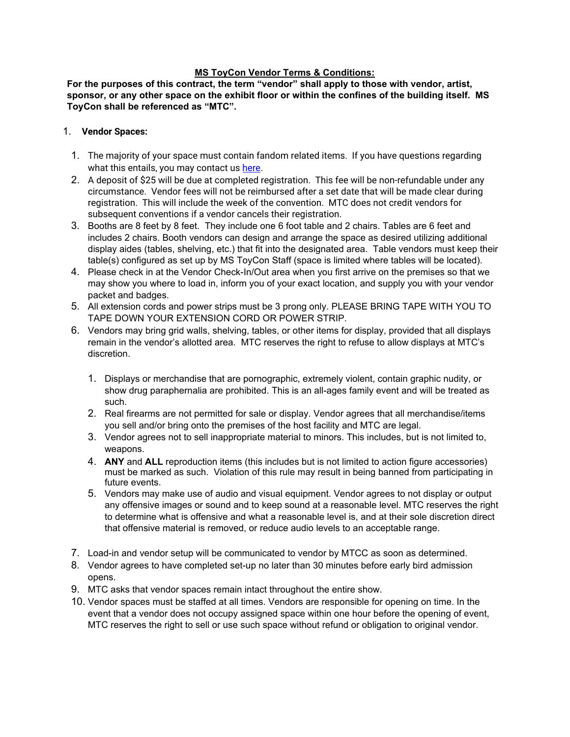#### **MS ToyCon Vendor Terms & Conditions:**

**For the purposes of this contract, the term "vendor" shall apply to those with vendor, artist, sponsor, or any other space on the exhibit floor or within the confines of the building itself. MS ToyCon shall be referenced as "MTC".**

#### 1. **Vendor Spaces:**

- 1. The majority of your space must contain fandom related items. If you have questions regarding what this entails, you may contact us [here.](https://www.facebook.com/mstoycon/)
- 2. A deposit of \$25 will be due at completed registration. This fee will be non-refundable under any circumstance. Vendor fees will not be reimbursed after a set date that will be made clear during registration. This will include the week of the convention. MTC does not credit vendors for subsequent conventions if a vendor cancels their registration.
- 3. Booths are 8 feet by 8 feet. They include one 6 foot table and 2 chairs. Tables are 6 feet and includes 2 chairs. Booth vendors can design and arrange the space as desired utilizing additional display aides (tables, shelving, etc.) that fit into the designated area. Table vendors must keep their table(s) configured as set up by MS ToyCon Staff (space is limited where tables will be located).
- 4. Please check in at the Vendor Check-In/Out area when you first arrive on the premises so that we may show you where to load in, inform you of your exact location, and supply you with your vendor packet and badges.
- 5. All extension cords and power strips must be 3 prong only. PLEASE BRING TAPE WITH YOU TO TAPE DOWN YOUR EXTENSION CORD OR POWER STRIP.
- 6. Vendors may bring grid walls, shelving, tables, or other items for display, provided that all displays remain in the vendor's allotted area. MTC reserves the right to refuse to allow displays at MTC's discretion.
	- 1. Displays or merchandise that are pornographic, extremely violent, contain graphic nudity, or show drug paraphernalia are prohibited. This is an all-ages family event and will be treated as such.
	- 2. Real firearms are not permitted for sale or display. Vendor agrees that all merchandise/items you sell and/or bring onto the premises of the host facility and MTC are legal.
	- 3. Vendor agrees not to sell inappropriate material to minors. This includes, but is not limited to, weapons.
	- 4. **ANY** and **ALL** reproduction items (this includes but is not limited to action figure accessories) must be marked as such. Violation of this rule may result in being banned from participating in future events.
	- 5. Vendors may make use of audio and visual equipment. Vendor agrees to not display or output any offensive images or sound and to keep sound at a reasonable level. MTC reserves the right to determine what is offensive and what a reasonable level is, and at their sole discretion direct that offensive material is removed, or reduce audio levels to an acceptable range.
- 7. Load-in and vendor setup will be communicated to vendor by MTCC as soon as determined.
- 8. Vendor agrees to have completed set-up no later than 30 minutes before early bird admission opens.
- 9. MTC asks that vendor spaces remain intact throughout the entire show.
- 10. Vendor spaces must be staffed at all times. Vendors are responsible for opening on time. In the event that a vendor does not occupy assigned space within one hour before the opening of event, MTC reserves the right to sell or use such space without refund or obligation to original vendor.